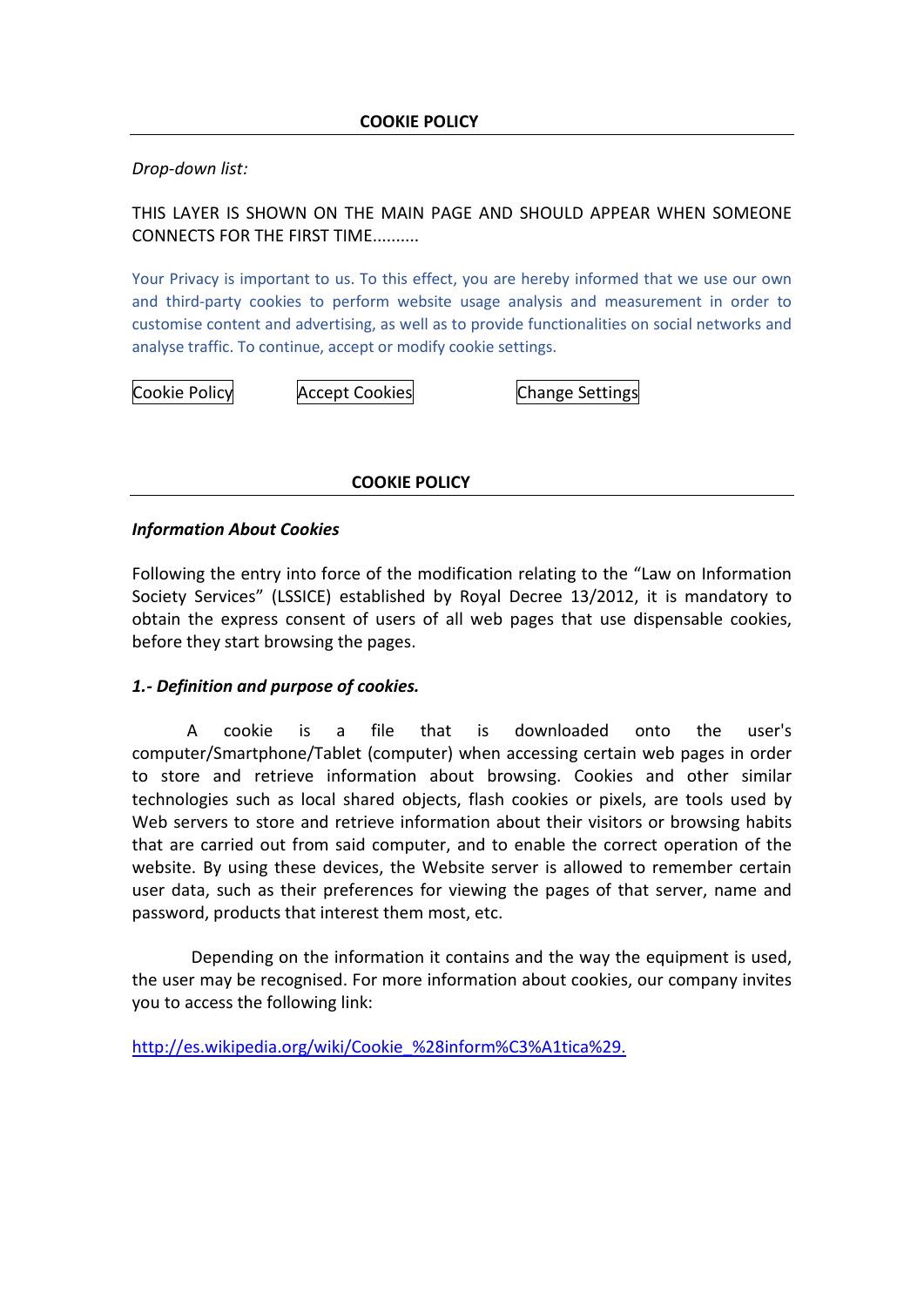*Drop-down list:*

THIS LAYER IS SHOWN ON THE MAIN PAGE AND SHOULD APPEAR WHEN SOMEONE CONNECTS FOR THE FIRST TIME..........

Your Privacy is important to us. To this effect, you are hereby informed that we use our own and third-party cookies to perform website usage analysis and measurement in order to customise content and advertising, as well as to provide functionalities on social networks and analyse traffic. To continue, accept or modify cookie settings.

Cookie Policy **Accept Cookies** Cookies Change Settings

**COOKIE POLICY**

#### *Information About Cookies*

Following the entry into force of the modification relating to the "Law on Information Society Services" (LSSICE) established by Royal Decree 13/2012, it is mandatory to obtain the express consent of users of all web pages that use dispensable cookies, before they start browsing the pages.

#### *1.- Definition and purpose of cookies.*

A cookie is a file that is downloaded onto the user's computer/Smartphone/Tablet (computer) when accessing certain web pages in order to store and retrieve information about browsing. Cookies and other similar technologies such as local shared objects, flash cookies or pixels, are tools used by Web servers to store and retrieve information about their visitors or browsing habits that are carried out from said computer, and to enable the correct operation of the website. By using these devices, the Website server is allowed to remember certain user data, such as their preferences for viewing the pages of that server, name and password, products that interest them most, etc.

Depending on the information it contains and the way the equipment is used, the user may be recognised. For more information about cookies, our company invites you to access the following link:

[http://es.wikipedia.org/wiki/Cookie\\_%28inform%C3%A1tica%29.](http://es.wikipedia.org/wiki/Cookie_%28inform%C3%A1tica%29)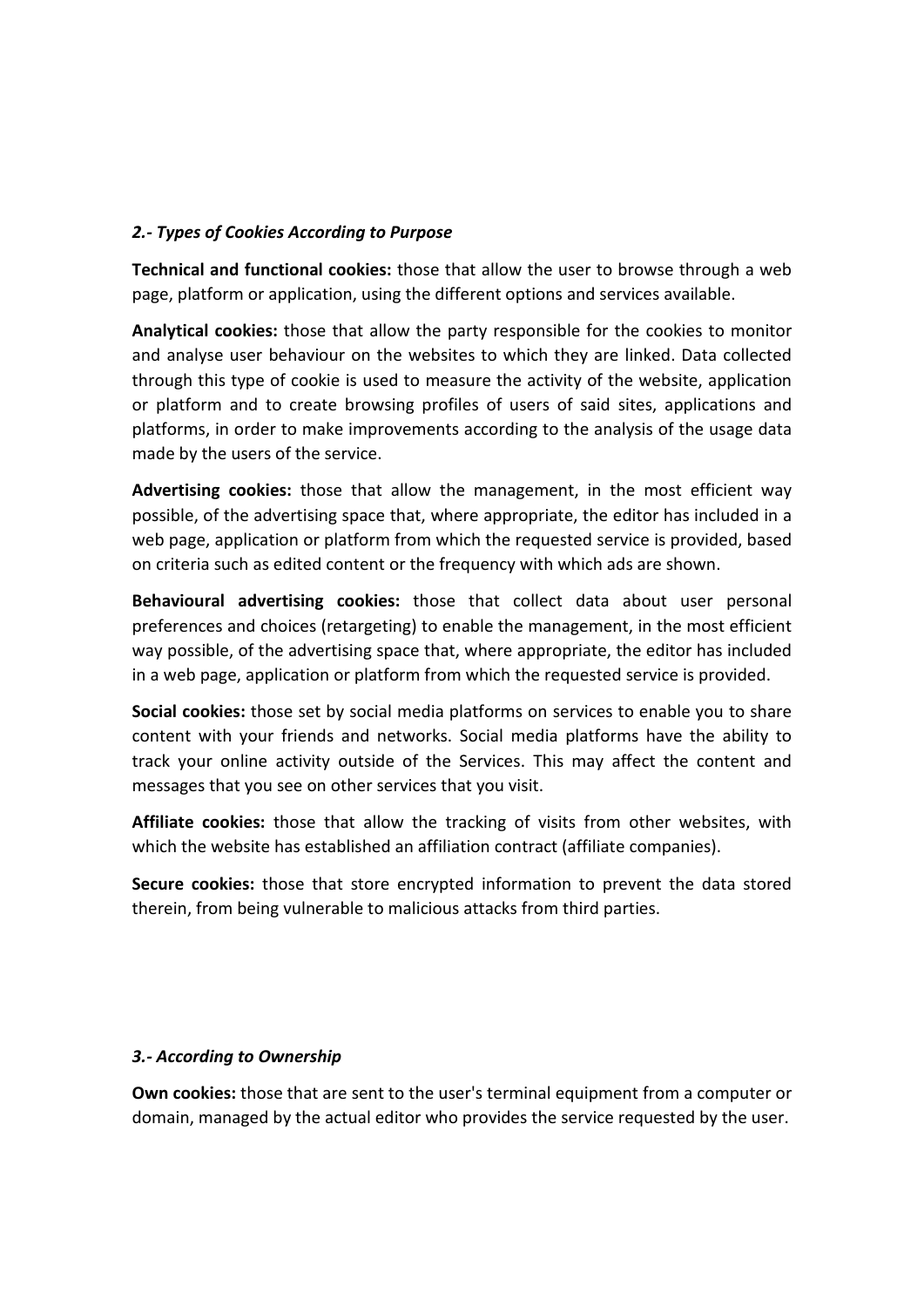#### *2.- Types of Cookies According to Purpose*

**Technical and functional cookies:** those that allow the user to browse through a web page, platform or application, using the different options and services available.

**Analytical cookies:** those that allow the party responsible for the cookies to monitor and analyse user behaviour on the websites to which they are linked. Data collected through this type of cookie is used to measure the activity of the website, application or platform and to create browsing profiles of users of said sites, applications and platforms, in order to make improvements according to the analysis of the usage data made by the users of the service.

**Advertising cookies:** those that allow the management, in the most efficient way possible, of the advertising space that, where appropriate, the editor has included in a web page, application or platform from which the requested service is provided, based on criteria such as edited content or the frequency with which ads are shown.

**Behavioural advertising cookies:** those that collect data about user personal preferences and choices (retargeting) to enable the management, in the most efficient way possible, of the advertising space that, where appropriate, the editor has included in a web page, application or platform from which the requested service is provided.

**Social cookies:** those set by social media platforms on services to enable you to share content with your friends and networks. Social media platforms have the ability to track your online activity outside of the Services. This may affect the content and messages that you see on other services that you visit.

**Affiliate cookies:** those that allow the tracking of visits from other websites, with which the website has established an affiliation contract (affiliate companies).

**Secure cookies:** those that store encrypted information to prevent the data stored therein, from being vulnerable to malicious attacks from third parties.

#### *3.- According to Ownership*

**Own cookies:** those that are sent to the user's terminal equipment from a computer or domain, managed by the actual editor who provides the service requested by the user.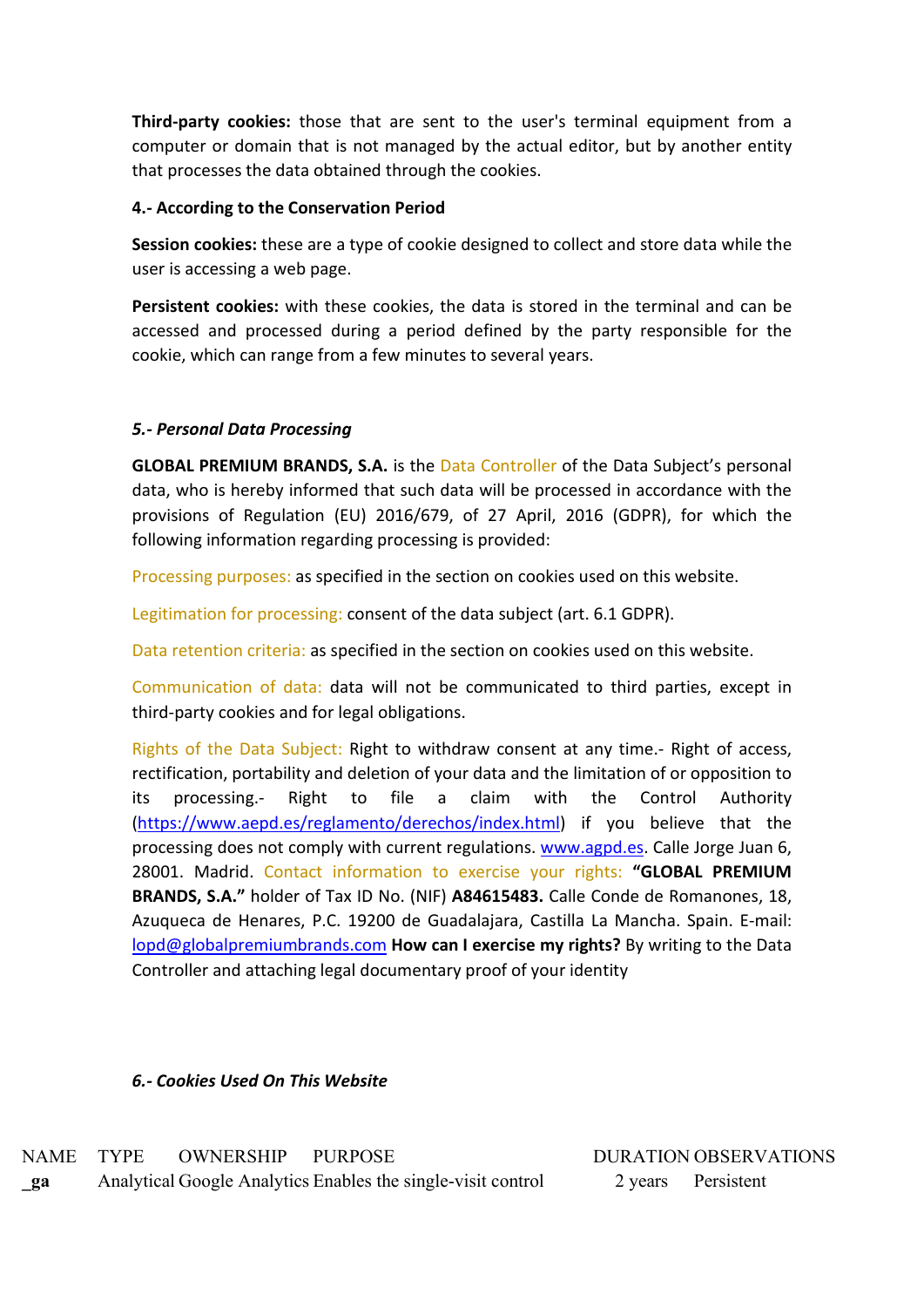**Third-party cookies:** those that are sent to the user's terminal equipment from a computer or domain that is not managed by the actual editor, but by another entity that processes the data obtained through the cookies.

#### **4.- According to the Conservation Period**

**Session cookies:** these are a type of cookie designed to collect and store data while the user is accessing a web page.

**Persistent cookies:** with these cookies, the data is stored in the terminal and can be accessed and processed during a period defined by the party responsible for the cookie, which can range from a few minutes to several years.

## *5.- Personal Data Processing*

**GLOBAL PREMIUM BRANDS, S.A.** is the Data Controller of the Data Subject's personal data, who is hereby informed that such data will be processed in accordance with the provisions of Regulation (EU) 2016/679, of 27 April, 2016 (GDPR), for which the following information regarding processing is provided:

Processing purposes: as specified in the section on cookies used on this website.

Legitimation for processing: consent of the data subject (art. 6.1 GDPR).

Data retention criteria: as specified in the section on cookies used on this website.

Communication of data: data will not be communicated to third parties, except in third-party cookies and for legal obligations.

Rights of the Data Subject: Right to withdraw consent at any time.- Right of access, rectification, portability and deletion of your data and the limitation of or opposition to its processing.- Right to file a claim with the Control Authority [\(https://www.aepd.es/reglamento/derechos/index.html\)](https://www.aepd.es/reglamento/derechos/index.html) if you believe that the processing does not comply with current regulations. [www.agpd.es.](http://www.agpd.es/) Calle Jorge Juan 6, 28001. Madrid. Contact information to exercise your rights: **"GLOBAL PREMIUM BRANDS, S.A."** holder of Tax ID No. (NIF) **A84615483.** Calle Conde de Romanones, 18, Azuqueca de Henares, P.C. 19200 de Guadalajara, Castilla La Mancha. Spain. E-mail: [lopd@globalpremiumbrands.com](mailto:lopd@globalpremiumbrands.com) **How can I exercise my rights?** By writing to the Data Controller and attaching legal documentary proof of your identity

## *6.- Cookies Used On This Website*

NAME TYPE OWNERSHIP PURPOSE DURATION OBSERVATIONS **\_ga** Analytical Google Analytics Enables the single-visit control 2 years Persistent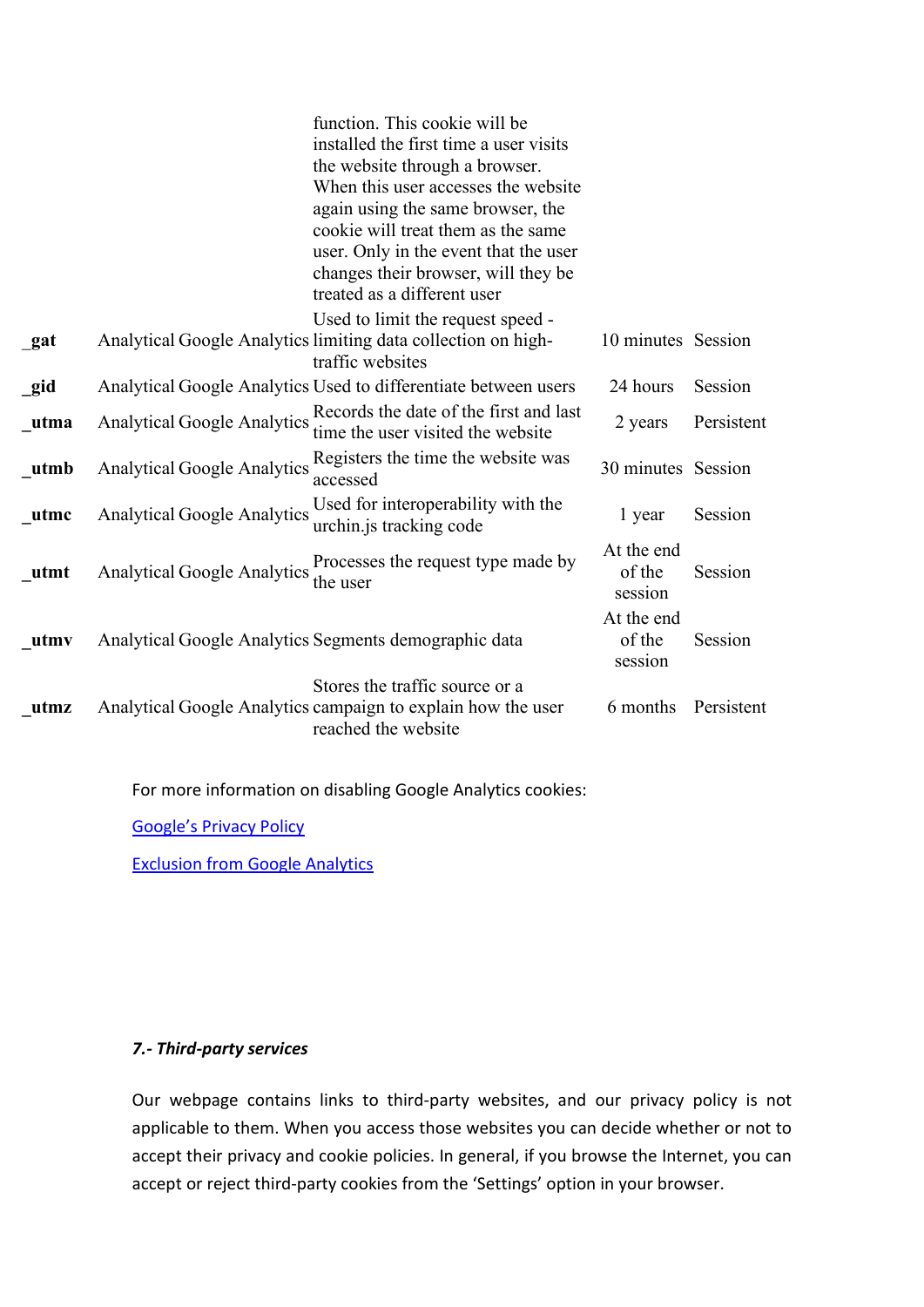|      |                                    | function. This cookie will be<br>installed the first time a user visits<br>the website through a browser.<br>When this user accesses the website<br>again using the same browser, the<br>cookie will treat them as the same<br>user. Only in the event that the user<br>changes their browser, will they be<br>treated as a different user |                                 |            |
|------|------------------------------------|--------------------------------------------------------------------------------------------------------------------------------------------------------------------------------------------------------------------------------------------------------------------------------------------------------------------------------------------|---------------------------------|------------|
| gat  |                                    | Used to limit the request speed -<br>Analytical Google Analytics limiting data collection on high-<br>traffic websites                                                                                                                                                                                                                     | 10 minutes Session              |            |
| gid  |                                    | Analytical Google Analytics Used to differentiate between users                                                                                                                                                                                                                                                                            | 24 hours                        | Session    |
| utma | <b>Analytical Google Analytics</b> | Records the date of the first and last<br>time the user visited the website                                                                                                                                                                                                                                                                | 2 years                         | Persistent |
| utmb | <b>Analytical Google Analytics</b> | Registers the time the website was<br>accessed                                                                                                                                                                                                                                                                                             | 30 minutes Session              |            |
| utmc | <b>Analytical Google Analytics</b> | Used for interoperability with the<br>urchin.js tracking code                                                                                                                                                                                                                                                                              | 1 year                          | Session    |
| utmt | <b>Analytical Google Analytics</b> | Processes the request type made by<br>the user                                                                                                                                                                                                                                                                                             | At the end<br>of the<br>session | Session    |
| utmv |                                    | Analytical Google Analytics Segments demographic data                                                                                                                                                                                                                                                                                      | At the end<br>of the<br>session | Session    |
| utmz |                                    | Stores the traffic source or a<br>Analytical Google Analytics campaign to explain how the user<br>reached the website                                                                                                                                                                                                                      | 6 months                        | Persistent |

For more information on disabling Google Analytics cookies:

[Google's Privacy Policy](https://policies.google.com/technologies/managing)

[Exclusion from Google Analytics](https://support.google.com/analytics/answer/181881?hl=es)

## *7.- Third-party services*

Our webpage contains links to third-party websites, and our privacy policy is not applicable to them. When you access those websites you can decide whether or not to accept their privacy and cookie policies. In general, if you browse the Internet, you can accept or reject third-party cookies from the 'Settings' option in your browser.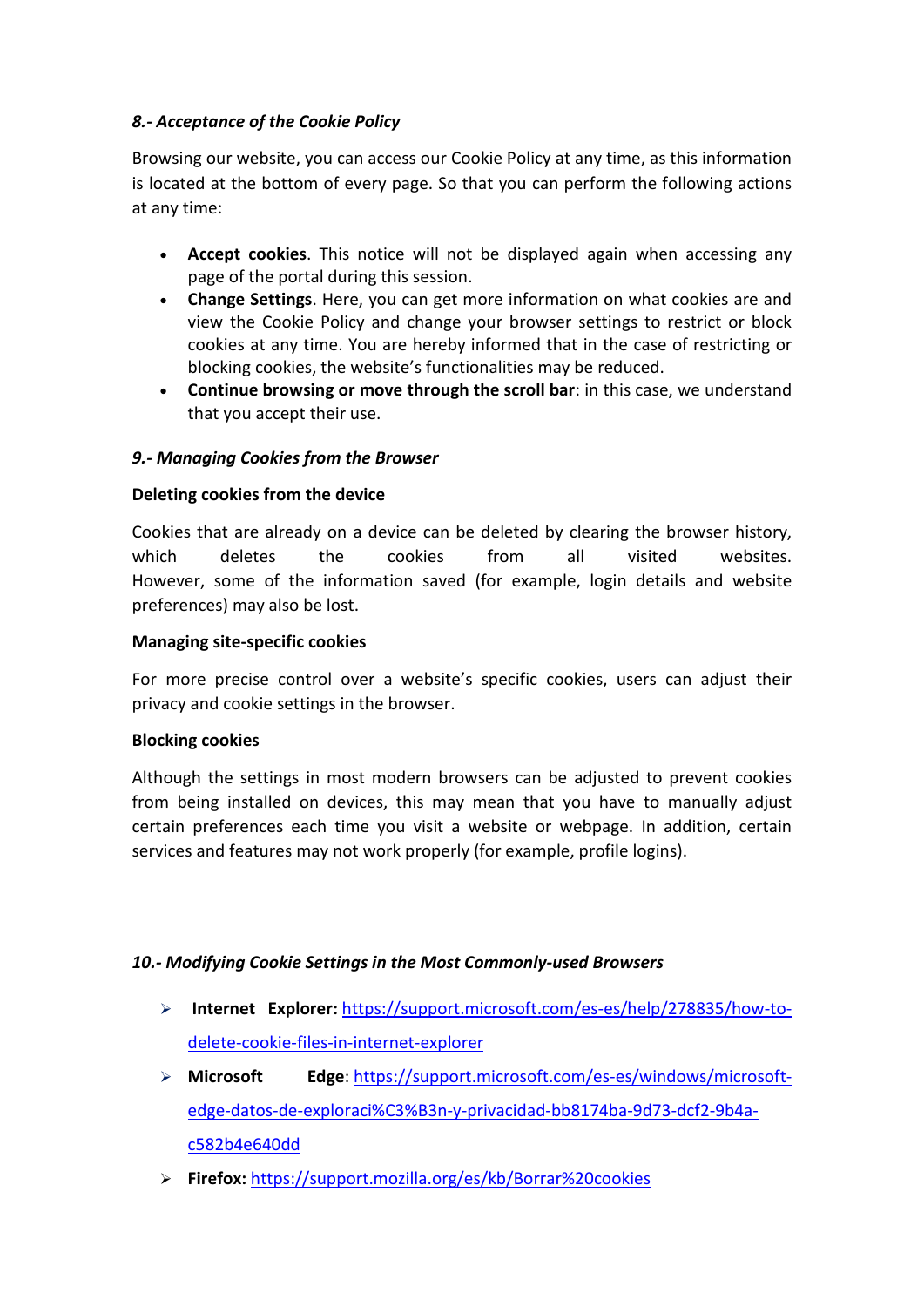## *8.- Acceptance of the Cookie Policy*

Browsing our website, you can access our Cookie Policy at any time, as this information is located at the bottom of every page. So that you can perform the following actions at any time:

- **Accept cookies**. This notice will not be displayed again when accessing any page of the portal during this session.
- **Change Settings**. Here, you can get more information on what cookies are and view the Cookie Policy and change your browser settings to restrict or block cookies at any time. You are hereby informed that in the case of restricting or blocking cookies, the website's functionalities may be reduced.
- **Continue browsing or move through the scroll bar**: in this case, we understand that you accept their use.

# *9.- Managing Cookies from the Browser*

## **Deleting cookies from the device**

Cookies that are already on a device can be deleted by clearing the browser history, which deletes the cookies from all visited websites. However, some of the information saved (for example, login details and website preferences) may also be lost.

#### **Managing site-specific cookies**

For more precise control over a website's specific cookies, users can adjust their privacy and cookie settings in the browser.

## **Blocking cookies**

Although the settings in most modern browsers can be adjusted to prevent cookies from being installed on devices, this may mean that you have to manually adjust certain preferences each time you visit a website or webpage. In addition, certain services and features may not work properly (for example, profile logins).

## *10.- Modifying Cookie Settings in the Most Commonly-used Browsers*

- **Internet Explorer:** [https://support.microsoft.com/es-es/help/278835/how-to](https://support.microsoft.com/es-es/help/278835/how-to-delete-cookie-files-in-internet-explorer)[delete-cookie-files-in-internet-explorer](https://support.microsoft.com/es-es/help/278835/how-to-delete-cookie-files-in-internet-explorer)
- **Microsoft Edge**: [https://support.microsoft.com/es-es/windows/microsoft](https://support.microsoft.com/es-es/windows/microsoft-edge-datos-de-exploraci%C3%B3n-y-privacidad-bb8174ba-9d73-dcf2-9b4a-c582b4e640dd)[edge-datos-de-exploraci%C3%B3n-y-privacidad-bb8174ba-9d73-dcf2-9b4a](https://support.microsoft.com/es-es/windows/microsoft-edge-datos-de-exploraci%C3%B3n-y-privacidad-bb8174ba-9d73-dcf2-9b4a-c582b4e640dd)[c582b4e640dd](https://support.microsoft.com/es-es/windows/microsoft-edge-datos-de-exploraci%C3%B3n-y-privacidad-bb8174ba-9d73-dcf2-9b4a-c582b4e640dd)
- **Firefox:** <https://support.mozilla.org/es/kb/Borrar%20cookies>